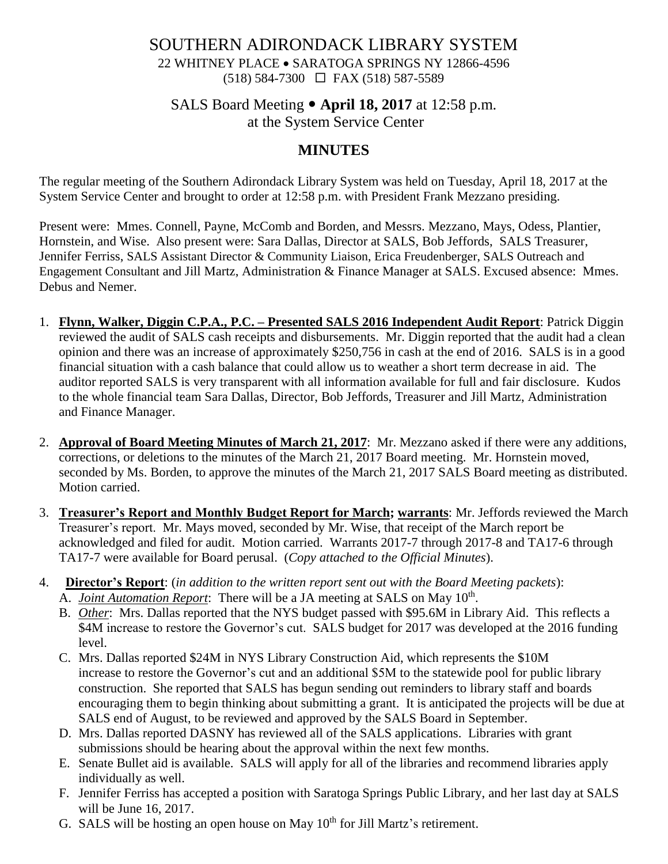### SOUTHERN ADIRONDACK LIBRARY SYSTEM 22 WHITNEY PLACE • SARATOGA SPRINGS NY 12866-4596  $(518) 584-7300 \square$  FAX (518) 587-5589

# SALS Board Meeting **April 18, 2017** at 12:58 p.m. at the System Service Center

# **MINUTES**

The regular meeting of the Southern Adirondack Library System was held on Tuesday, April 18, 2017 at the System Service Center and brought to order at 12:58 p.m. with President Frank Mezzano presiding.

Present were: Mmes. Connell, Payne, McComb and Borden, and Messrs. Mezzano, Mays, Odess, Plantier, Hornstein, and Wise. Also present were: Sara Dallas, Director at SALS, Bob Jeffords, SALS Treasurer, Jennifer Ferriss, SALS Assistant Director & Community Liaison, Erica Freudenberger, SALS Outreach and Engagement Consultant and Jill Martz, Administration & Finance Manager at SALS. Excused absence: Mmes. Debus and Nemer.

- 1. **Flynn, Walker, Diggin C.P.A., P.C. – Presented SALS 2016 Independent Audit Report**: Patrick Diggin reviewed the audit of SALS cash receipts and disbursements. Mr. Diggin reported that the audit had a clean opinion and there was an increase of approximately \$250,756 in cash at the end of 2016. SALS is in a good financial situation with a cash balance that could allow us to weather a short term decrease in aid. The auditor reported SALS is very transparent with all information available for full and fair disclosure. Kudos to the whole financial team Sara Dallas, Director, Bob Jeffords, Treasurer and Jill Martz, Administration and Finance Manager.
- 2. **Approval of Board Meeting Minutes of March 21, 2017**: Mr. Mezzano asked if there were any additions, corrections, or deletions to the minutes of the March 21, 2017 Board meeting. Mr. Hornstein moved, seconded by Ms. Borden, to approve the minutes of the March 21, 2017 SALS Board meeting as distributed. Motion carried.
- 3. **Treasurer's Report and Monthly Budget Report for March; warrants**: Mr. Jeffords reviewed the March Treasurer's report. Mr. Mays moved, seconded by Mr. Wise, that receipt of the March report be acknowledged and filed for audit. Motion carried. Warrants 2017-7 through 2017-8 and TA17-6 through TA17-7 were available for Board perusal. (*Copy attached to the Official Minutes*).
- 4. **Director's Report**: (*in addition to the written report sent out with the Board Meeting packets*): A. *Joint Automation Report*: There will be a JA meeting at SALS on May 10<sup>th</sup>.
	- B. *Other*: Mrs. Dallas reported that the NYS budget passed with \$95.6M in Library Aid. This reflects a \$4M increase to restore the Governor's cut. SALS budget for 2017 was developed at the 2016 funding level.
	- C. Mrs. Dallas reported \$24M in NYS Library Construction Aid, which represents the \$10M increase to restore the Governor's cut and an additional \$5M to the statewide pool for public library construction. She reported that SALS has begun sending out reminders to library staff and boards encouraging them to begin thinking about submitting a grant. It is anticipated the projects will be due at SALS end of August, to be reviewed and approved by the SALS Board in September.
	- D. Mrs. Dallas reported DASNY has reviewed all of the SALS applications. Libraries with grant submissions should be hearing about the approval within the next few months.
	- E. Senate Bullet aid is available. SALS will apply for all of the libraries and recommend libraries apply individually as well.
	- F. Jennifer Ferriss has accepted a position with Saratoga Springs Public Library, and her last day at SALS will be June 16, 2017.
	- G. SALS will be hosting an open house on May  $10<sup>th</sup>$  for Jill Martz's retirement.